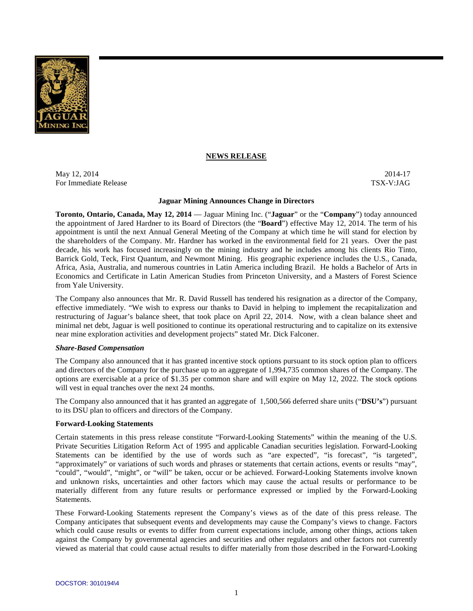

## **NEWS RELEASE**

May 12, 2014-17 2014-17 For Immediate Release TSX-V:JAG

### **Jaguar Mining Announces Change in Directors**

**Toronto, Ontario, Canada, May 12, 2014** — Jaguar Mining Inc. ("**Jaguar**" or the "**Company**") today announced the appointment of Jared Hardner to its Board of Directors (the "**Board**") effective May 12, 2014. The term of his appointment is until the next Annual General Meeting of the Company at which time he will stand for election by the shareholders of the Company. Mr. Hardner has worked in the environmental field for 21 years. Over the past decade, his work has focused increasingly on the mining industry and he includes among his clients Rio Tinto, Barrick Gold, Teck, First Quantum, and Newmont Mining. His geographic experience includes the U.S., Canada, Africa, Asia, Australia, and numerous countries in Latin America including Brazil. He holds a Bachelor of Arts in Economics and Certificate in Latin American Studies from Princeton University, and a Masters of Forest Science from Yale University.

The Company also announces that Mr. R. David Russell has tendered his resignation as a director of the Company, effective immediately. "We wish to express our thanks to David in helping to implement the recapitalization and restructuring of Jaguar's balance sheet, that took place on April 22, 2014. Now, with a clean balance sheet and minimal net debt, Jaguar is well positioned to continue its operational restructuring and to capitalize on its extensive near mine exploration activities and development projects" stated Mr. Dick Falconer.

### *Share-Based Compensation*

The Company also announced that it has granted incentive stock options pursuant to its stock option plan to officers and directors of the Company for the purchase up to an aggregate of 1,994,735 common shares of the Company. The options are exercisable at a price of \$1.35 per common share and will expire on May 12, 2022. The stock options will vest in equal tranches over the next 24 months.

The Company also announced that it has granted an aggregate of 1,500,566 deferred share units ("**DSU's**") pursuant to its DSU plan to officers and directors of the Company.

### **Forward-Looking Statements**

Certain statements in this press release constitute "Forward-Looking Statements" within the meaning of the U.S. Private Securities Litigation Reform Act of 1995 and applicable Canadian securities legislation. Forward-Looking Statements can be identified by the use of words such as "are expected", "is forecast", "is targeted", "approximately" or variations of such words and phrases or statements that certain actions, events or results "may", "could", "would", "might", or "will" be taken, occur or be achieved. Forward-Looking Statements involve known and unknown risks, uncertainties and other factors which may cause the actual results or performance to be materially different from any future results or performance expressed or implied by the Forward-Looking Statements.

These Forward-Looking Statements represent the Company's views as of the date of this press release. The Company anticipates that subsequent events and developments may cause the Company's views to change. Factors which could cause results or events to differ from current expectations include, among other things, actions taken against the Company by governmental agencies and securities and other regulators and other factors not currently viewed as material that could cause actual results to differ materially from those described in the Forward-Looking